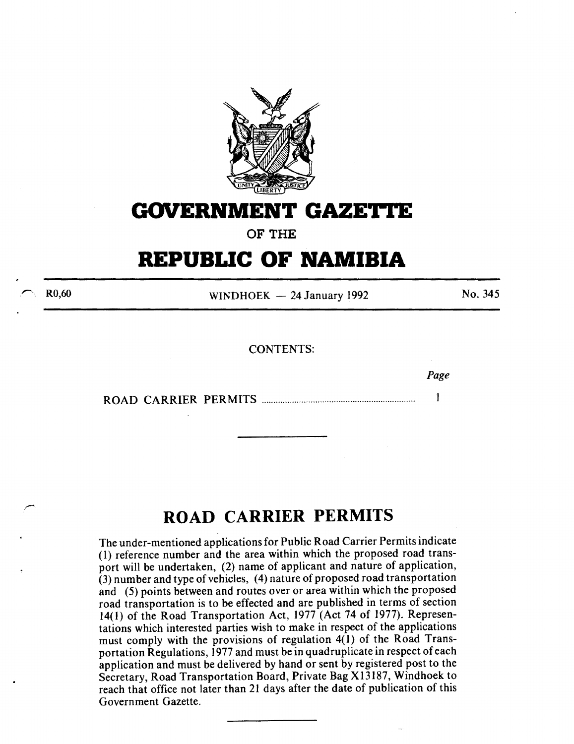

# **GOVERNMENT GAZETTE**

**OF THE** 

# **REPUBLIC OF NAMIBIA**

R0,60

WINDHOEK  $-24$  January 1992

No. 345

*Page* 

## CONTENTS:

ROAD CARRIER PERMITS .................................................................. 1

# **ROAD CARRIER PERMITS**

The under-mentioned applications for Public Road Carrier Permits indicate ( l) reference number and the area within which the proposed road transport will be undertaken, (2) name of applicant and nature of application, (3) number and type of vehicles, (4) nature of proposed road transportation and (5) points between and routes over or area within which the proposed road transportation is to be effected and are published in terms of section 14(1) of the Road Transportation Act, 1977 (Act 74 of 1977). Representations which interested parties wish to make in respect of the applications must comply with the provisions of regulation 4(1) of the Road Transportation Regulations, 1977 and must be in quadruplicate in respect of each application and must be delivered by hand or sent by registered post to the Secretary, Road Transportation Board, Private Bag X13187, Windhoek to reach that office not later than 21 days after the date of publication of this Government Gazette.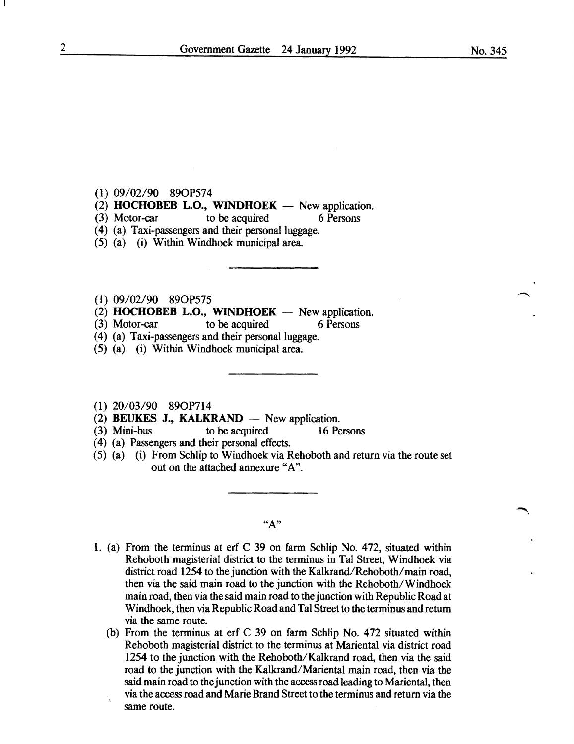### (l) 09/02/90 890P574

- (2) **HOCHOBEB L.O., WINDHOEK**  $-$  New application.
- (3) Motor-car to be acquired 6 Persons
- (4) (a) Taxi-passengers and their personal luggage.
- (5) (a) (i) Within Windhoek municipal area.
- (1) 09/02/90 890P575
- $(2)$  **HOCHOBEB L.O., WINDHOEK** New application.
- (3) Motor-car to be acquired 6 Persons
- (4) (a) Taxi-passengers and their personal luggage.
- (5) (a) (i) Within Windhoek municipal area.
- (I) 20/03/90 890P714
- $(2)$  **BEUKES J., KALKRAND** New application.
- (3) Mini-bus to be acquired 16 Persons
- ( 4) (a) Passengers and their personal effects.
- (5) (a) (i) From Schlip to Windhoek via Rehoboth and return via the route set out on the attached annexure "A".

**"A"** 

- L (a) From the terminus at erf C 39 on farm Schlip No. 472, situated within Rehoboth magisterial district to the terminus in Tal Street, Windhoek via district road 1254 to the junction with the Kalkrand/Rehoboth/main road, then via the said main road to the junction with the Rehoboth/Windhoek main road, then via the said main road to the junction with Republic Road at Windhoek, then via Republic Road and Tal Street to the terminus and return via the same route.
	- (b) From the terminus at erf C 39 on farm Schlip No. 472 situated within Rehoboth magisterial district to the terminus at Mariental via district road 1254 to the junction with the Rehoboth/Kalkrand road, then via the said road to the junction with the Kalkrand/Mariental main road, then via the said main road to the junction with the access road leading to Mariental, then via the access road and Marie Brand Street to the terminus and return via the same route.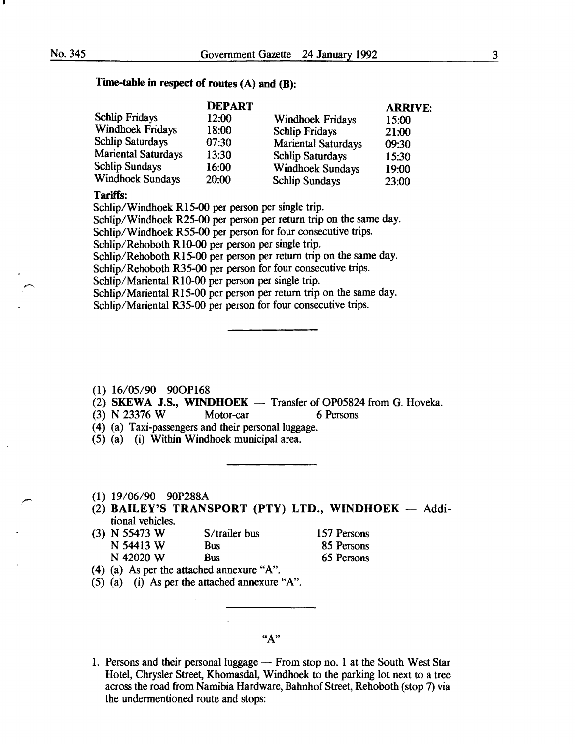# Time-table in respect of routes (A) and (B):

|       |                       | <b>ARRIVE:</b>                                                                                                                       |
|-------|-----------------------|--------------------------------------------------------------------------------------------------------------------------------------|
| 12:00 |                       | 15:00                                                                                                                                |
| 18:00 |                       | 21:00                                                                                                                                |
| 07:30 |                       | 09:30                                                                                                                                |
| 13:30 |                       | 15:30                                                                                                                                |
| 16:00 |                       | 19:00                                                                                                                                |
| 20:00 | <b>Schlip Sundays</b> | 23:00                                                                                                                                |
|       | <b>DEPART</b>         | <b>Windhoek Fridays</b><br><b>Schlip Fridays</b><br><b>Mariental Saturdays</b><br><b>Schlip Saturdays</b><br><b>Windhoek Sundays</b> |

## Tariffs:

Schlip/Windhoek R15-00 per person per single trip.

Schlip/Windhoek R25-00 per person per return trip on the same day.

Schlip/Windhoek R55-00 per person for four consecutive trips.

Schlip/Rehoboth RI0-00 per person per single trip.

Schlip/Rehoboth R15-00 per person per return trip on the same day.

Schlip/Rehoboth R35-00 per person for four consecutive trips.

Schlip/Mariental Rl0-00 per person per single trip.

Schlip/Mariental R15-00 per person per return trip on the same day. Schlip/Mariental R35-00 per person for four consecutive trips.

- $(1)$  16/05/90 90OP168
- (2) SKEWA J.S., WINDHOEK  $-$  Transfer of OP05824 from G. Hoveka.
- (3) N 23376 W Motor-car 6 Persons
- (4) (a) Taxi-passengers and their personal luggage.
- (5) (a) (i) Within Windhoek municipal area.
- (1) 19/06/90 90P288A
- $(2)$  BAILEY'S TRANSPORT (PTY) LTD., WINDHOEK Additional vehicles.
- (3) N 55473 W S/trailer bus 157 Persons N 54413 W Bus 85 Persons N 42020 W Bus 65 Persons
- (4) (a) As per the attached annexure "A".
- (5) (a) (i) As per the attached annexure "A".

## "A"

1. Persons and their personal luggage — From stop no. 1 at the South West Star Hotel, Chrysler Street, Khomasdal, Windhoek to the parking lot next to a tree across the road from Namibia Hardware, Bahnhof Street, Rehoboth (stop 7) via the underrnentioned route and stops: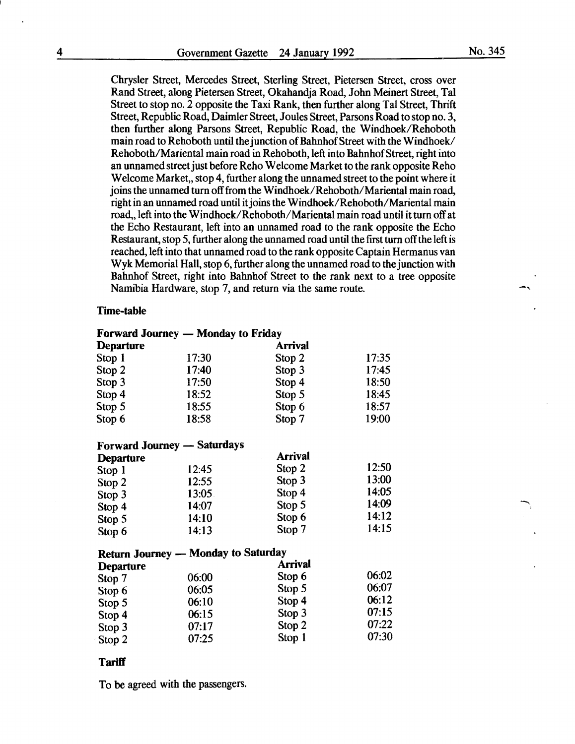No. 345

Chrysler Street, Mercedes Street, Sterling Street, Pietersen Street, cross over Rand Street, along Pietersen Street, Okahandja Road, John Meinert Street, Tal Street to stop no. 2 opposite the Taxi Rank, then further along Tal Street, Thrift Street, Republic Road, Daimler Street, Joules Street, Parsons Road to stop no. 3, then further along Parsons Street, Republic Road, the Windhoek/Rehoboth main road to Rehoboth until the junction of Bahnhof Street with the Windhoek/ Rehoboth/Mariental main road in Rehoboth, left into Bahnhof Street, right into an unnamed street just before Reho Welcome Market to the rank opposite Reho Welcome Market, stop 4, further along the unnamed street to the point where it joins the unnamed turn off from the Windhoek/Rehoboth/Mariental main road, right in an unnamed road until it joins the Windhoek/Rehoboth/Mariental main road, left into the Windhoek/Rehoboth/Mariental main road until it turn off at the Echo Restaurant, left into an unnamed road to the rank opposite the Echo Restaurant, stop 5, further along the unnamed road until the first turn off the left is reached, left into that unnamed road to the rank opposite Captain Hermanns van Wyk Memorial Hall, stop 6, further along the unnamed road to the junction with Bahnhof Street, right into Bahnhof Street to the rank next to a tree opposite Namibia Hardware, stop 7, and return via the same route.

## Time-table

## Forward Journey - Monday to Friday

| <b>Departure</b> |       | <b>Arrival</b> |       |
|------------------|-------|----------------|-------|
| Stop 1           | 17:30 | Stop 2         | 17:35 |
| Stop 2           | 17:40 | Stop 3         | 17:45 |
| Stop 3           | 17:50 | Stop 4         | 18:50 |
| Stop 4           | 18:52 | Stop 5         | 18:45 |
| Stop 5           | 18:55 | Stop 6         | 18:57 |
| Stop 6           | 18:58 | Stop 7         | 19:00 |

## Forward Journey - Saturdays

| 12:45 | Stop 2                           | 12:50                                                  |
|-------|----------------------------------|--------------------------------------------------------|
|       |                                  | 13:00                                                  |
|       |                                  | 14:05                                                  |
|       |                                  | 14:09                                                  |
|       |                                  | 14:12                                                  |
| 14:13 | Stop 7                           | 14:15                                                  |
|       | 12:55<br>13:05<br>14:07<br>14:10 | <b>Arrival</b><br>Stop 3<br>Stop 4<br>Stop 5<br>Stop 6 |

## Return Journey - Monday to Saturday

| <b>Departure</b> |       | Arrival |       |
|------------------|-------|---------|-------|
| Stop 7           | 06:00 | Stop 6  | 06:02 |
| Stop 6           | 06:05 | Stop 5  | 06:07 |
| Stop 5           | 06:10 | Stop 4  | 06:12 |
| Stop 4           | 06:15 | Stop 3  | 07:15 |
| Stop 3           | 07:17 | Stop 2  | 07:22 |
| Stop 2           | 07:25 | Stop 1  | 07:30 |

#### **Tariff**

To be agreed with the passengers.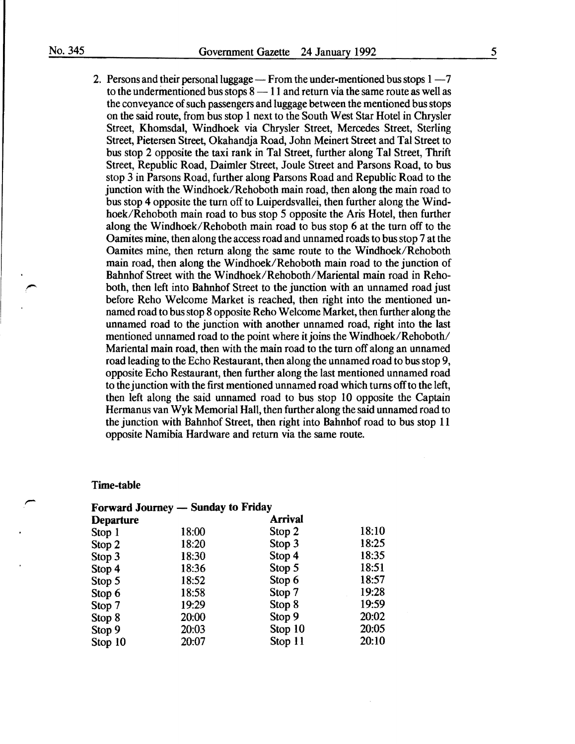2. Persons and their personal luggage  $-$  From the under-mentioned bus stops  $1 - 7$ to the undermentioned bus stops  $8 - 11$  and return via the same route as well as the conveyance of such passengers and luggage between the mentioned bus stops on the said route, from bus stop 1 next to the South West Star Hotel in Chrysler Street, Khomsdal, Windhoek via Chrysler Street, Mercedes Street, Sterling Street, Pietersen Street, Okahandja Road, John Meinert Street and Tal Street to bus stop 2 opposite the taxi rank in Tal Street, further along Tal Street, Thrift Street, Republic Road, Daimler Street, Joule Street and Parsons Road, to bus stop 3 in Parsons Road, further along Parsons Road and Republic Road to the junction with the Windhoek/Rehoboth main road, then along the main road to bus stop 4 opposite the turn off to Luiperdsvallei, then further along the Windhoek/Rehoboth main road to bus stop 5 opposite the Aris Hotel, then further along the Windhoek/Rehoboth main road to bus stop 6 at the turn off to the Oamites mine, then along the access road and unnamed roads to bus stop 7 at the Oamites mine, then return along the same route to the Windhoek/Rehoboth main road, then along the Windhoek/Rehoboth main road to the junction of Bahnhof Street with the Windhoek/Rehoboth/Mariental main road in Rehoboth, then left into Bahnhof Street to the junction with an unnamed road just before Reho Welcome Market is reached, then right into the mentioned unnamed road to bus stop 8 opposite Reho Welcome Market, then further along the unnamed road to the junction with another unnamed road, right into the last mentioned unnamed road to the point where it joins the Windhoek/Rehoboth/ Mariental main road, then with the main road to the turn off along an unnamed road leading to the Echo Restaurant, then along the unnamed road to bus stop 9, opposite Echo Restaurant, then further along the last mentioned unnamed road to the junction with the first mentioned unnamed road which turns off to the left, then left along the said unnamed road to bus stop 10 opposite the Captain Hermanus van Wyk Memorial Hall, then further along the said unnamed road to the junction with Bahnhof Street, then right into Bahnhof road to bus stop 11 opposite Namibia Hardware and return via the same route.

## Time-table

| <b>Forward Journey — Sunday to Friday</b> |       |                |       |
|-------------------------------------------|-------|----------------|-------|
| <b>Departure</b>                          |       | <b>Arrival</b> |       |
| Stop 1                                    | 18:00 | Stop 2         | 18:10 |
| Stop 2                                    | 18:20 | Stop 3         | 18:25 |
| Stop 3                                    | 18:30 | Stop 4         | 18:35 |
| Stop 4                                    | 18:36 | Stop 5         | 18:51 |
| Stop 5                                    | 18:52 | Stop 6         | 18:57 |
| Stop 6                                    | 18:58 | Stop 7         | 19:28 |
| Stop 7                                    | 19:29 | Stop 8         | 19:59 |
| Stop 8                                    | 20:00 | Stop 9         | 20:02 |
| Stop 9                                    | 20:03 | Stop 10        | 20:05 |
| Stop 10                                   | 20:07 | Stop 11        | 20:10 |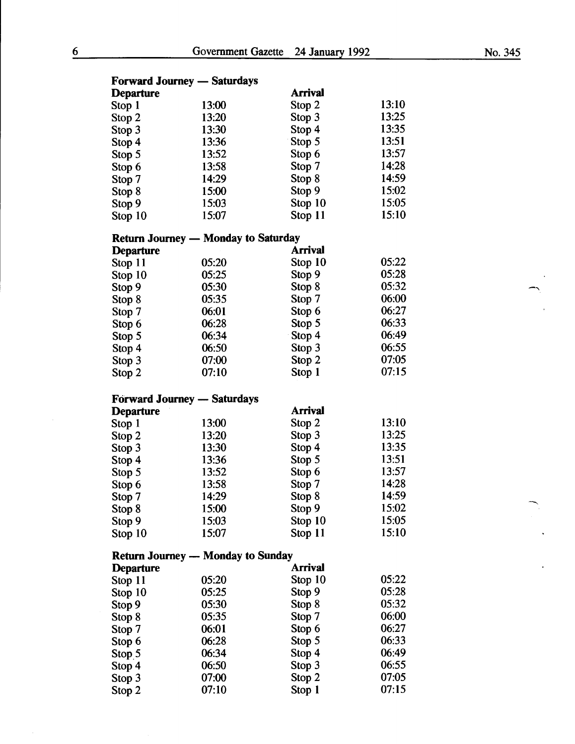| <b>Forward Journey — Saturdays</b> |                                            |                  |                |  |
|------------------------------------|--------------------------------------------|------------------|----------------|--|
| <b>Departure</b>                   |                                            | Arrival          |                |  |
| Stop 1                             | 13:00                                      | Stop 2           | 13:10          |  |
| Stop 2                             | 13:20                                      | Stop 3           | 13:25          |  |
| Stop 3                             | 13:30                                      | Stop 4           | 13:35          |  |
| Stop 4                             | 13:36                                      | Stop 5           | 13:51          |  |
| Stop 5                             | 13:52                                      | Stop 6           | 13:57          |  |
| Stop 6                             | 13:58                                      | Stop 7           | 14:28          |  |
| Stop 7                             | 14:29                                      | Stop 8           | 14:59          |  |
| Stop 8                             | 15:00                                      | Stop 9           | 15:02          |  |
| Stop 9                             | 15:03                                      | Stop 10          | 15:05          |  |
| Stop 10                            | 15:07                                      | Stop 11          | 15:10          |  |
|                                    |                                            |                  |                |  |
|                                    | <b>Return Journey — Monday to Saturday</b> |                  |                |  |
| <b>Departure</b>                   |                                            | Arrival          |                |  |
| Stop 11                            | 05:20                                      | Stop 10          | 05:22          |  |
| Stop 10                            | 05:25                                      | Stop 9           | 05:28          |  |
| Stop 9                             | 05:30                                      | Stop 8           | 05:32          |  |
| Stop 8                             | 05:35                                      | Stop 7           | 06:00          |  |
| Stop 7                             | 06:01                                      | Stop 6           | 06:27          |  |
| Stop 6                             | 06:28                                      | Stop 5           | 06:33          |  |
| Stop 5                             | 06:34                                      | Stop 4           | 06:49          |  |
| Stop 4                             | 06:50                                      | Stop 3           | 06:55          |  |
| Stop 3                             | 07:00                                      | Stop 2           | 07:05          |  |
| Stop 2                             | 07:10                                      | Stop 1           | 07:15          |  |
|                                    |                                            |                  |                |  |
| <b>Forward Journey — Saturdays</b> |                                            | <b>Arrival</b>   |                |  |
| <b>Departure</b>                   |                                            |                  | 13:10          |  |
| Stop 1                             | 13:00                                      | Stop 2           | 13:25          |  |
| Stop 2                             | 13:20                                      | Stop 3           |                |  |
| Stop 3                             | 13:30                                      | Stop 4           | 13:35          |  |
| Stop 4                             | 13:36                                      | Stop 5           | 13:51<br>13:57 |  |
| Stop 5                             | 13:52                                      | Stop 6           | 14:28          |  |
| Stop 6                             | 13:58                                      | Stop 7           |                |  |
| Stop 7                             | 14:29                                      | Stop 8           | 14:59<br>15:02 |  |
| Stop 8                             | 15:00                                      | Stop 9           | 15:05          |  |
| Stop 9                             | 15:03                                      | Stop 10          | 15:10          |  |
| Stop 10                            | 15:07                                      | Stop 11          |                |  |
|                                    | <b>Return Journey — Monday to Sunday</b>   |                  |                |  |
| <b>Departure</b>                   |                                            | Arrival          |                |  |
| Stop 11                            | 05:20                                      | Stop 10          | 05:22          |  |
| Stop 10                            | 05:25                                      | Stop 9           | 05:28          |  |
| Stop 9                             | 05:30                                      | Stop 8           | 05:32          |  |
| Stop 8                             | 05:35                                      | Stop 7           | 06:00          |  |
| Stop 7                             | 06:01                                      | Stop 6           | 06:27          |  |
| Stop 6                             | 06:28                                      | Stop 5           | 06:33          |  |
|                                    |                                            |                  |                |  |
|                                    | 06:34                                      | Stop 4           | 06:49          |  |
| Stop $5$                           | 06:50                                      |                  | 06:55          |  |
| Stop 4<br>Stop 3                   | 07:00                                      | Stop 3<br>Stop 2 | 07:05          |  |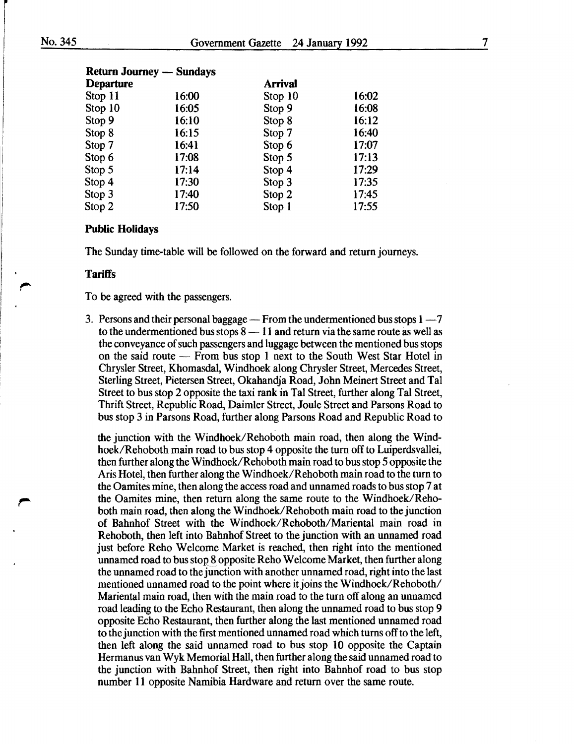|                  | <b>Return Journey — Sundays</b> |                |       |
|------------------|---------------------------------|----------------|-------|
| <b>Departure</b> |                                 | <b>Arrival</b> |       |
| Stop 11          | 16:00                           | Stop 10        | 16:02 |
| Stop 10          | 16:05                           | Stop 9         | 16:08 |
| Stop 9           | 16:10                           | Stop 8         | 16:12 |
| Stop 8           | 16:15                           | Stop 7         | 16:40 |
| Stop 7           | 16:41                           | Stop 6         | 17:07 |
| Stop 6           | 17:08                           | Stop 5         | 17:13 |
| Stop 5           | 17:14                           | Stop 4         | 17:29 |
| Stop 4           | 17:30                           | Stop 3         | 17:35 |
| Stop 3           | 17:40                           | Stop 2         | 17:45 |
| Stop 2           | 17:50                           | Stop 1         | 17:55 |

## Public Holidays

The Sunday time-table will be followed on the forward and return journeys.

#### **Tariffs**

To be agreed with the passengers.

3. Persons and their personal baggage  $-$  From the undermentioned bus stops  $1 - 7$ to the undermentioned bus stops  $8 - 11$  and return via the same route as well as the conveyance of such passengers and luggage between the mentioned bus stops on the said route - From bus stop 1 next to the South West Star Hotel in Chrysler Street, Khomasdal, Windhoek along Chrysler Street, Mercedes Street, Sterling Street, Pietersen Street, Okahandja Road, John Meinert Street and Tal Street to bus stop 2 opposite the taxi rank in Tal Street, further along Tal Street, Thrift Street, Republic Road, Daimler Street, Joule Street and Parsons Road to bus stop 3 in Parsons Road, further along Parsons Road and Republic Road to

the junction with the Windhoek/Rehoboth main road, then along the Windhoek/Rehoboth main road to bus stop 4 opposite the turn off to Luiperdsvallei, then further along the Windhoek/Rehoboth main road to bus stop 5 opposite the Aris Hotel, then further along the Windhoek/Rehoboth main road to the tum to the Oamites mine, then along the access road and unnamed roads to bus stop 7 at the Oamites mine, then return along the same route to the Windhoek/Rehoboth main road, then along the Windhoek/Rehoboth main road to the junction of Bahnhof Street with the Windhoek/Rehoboth/Mariental main road in Rehoboth, then left into Bahnhof Street to the junction with an unnamed road just before Reho Welcome Market is reached, then right into the mentioned unnamed road to bus stop 8 opposite Reho Welcome Market, then further along the unnamed road to the junction with another unnamed road, right into the last mentioned unnamed road to the point where it joins the Windhoek/Rehoboth/ Mariental main road, then with the main road to the turn off along an unnamed road leading to the Echo Restaurant, then along the unnamed road to bus stop 9 opposite Echo Restaurant, then further along the last mentioned unnamed road to the junction with the first mentioned unnamed road which turns off to the left, then left along the said unnamed road to bus stop 10 opposite the Captain Hermanus van Wyk Memorial Hall, then further along the said unnamed road to the junction with Bahnhof Street, then right into Bahnhof road to bus stop number 11 opposite Namibia Hardware and return over the same route.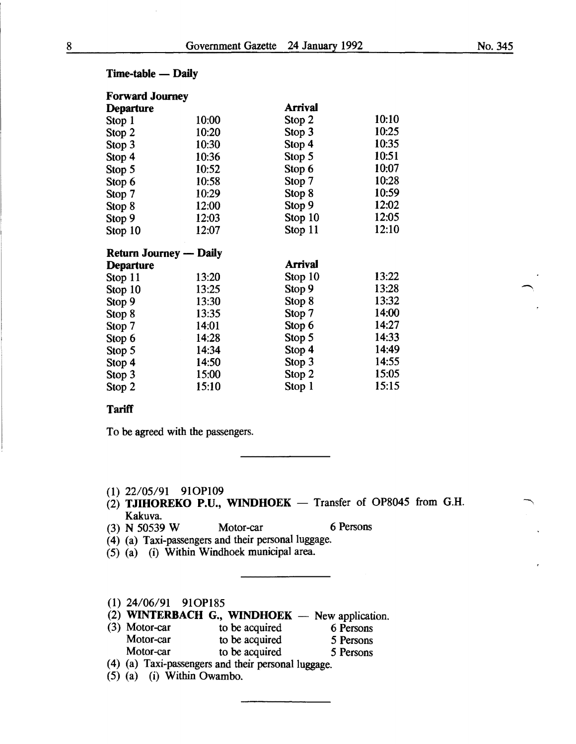| <b>Forward Journey</b>        |       |                |       |  |
|-------------------------------|-------|----------------|-------|--|
| <b>Departure</b>              |       | <b>Arrival</b> |       |  |
| Stop 1                        | 10:00 | Stop 2         | 10:10 |  |
| Stop 2                        | 10:20 | Stop 3         | 10:25 |  |
| Stop 3                        | 10:30 | Stop 4         | 10:35 |  |
| Stop 4                        | 10:36 | Stop 5         | 10:51 |  |
| Stop 5                        | 10:52 | Stop 6         | 10:07 |  |
| Stop 6                        | 10:58 | Stop 7         | 10:28 |  |
| Stop 7                        | 10:29 | Stop 8         | 10:59 |  |
| Stop 8                        | 12:00 | Stop 9         | 12:02 |  |
| Stop 9                        | 12:03 | Stop 10        | 12:05 |  |
| Stop 10                       | 12:07 | Stop 11        | 12:10 |  |
| <b>Return Journey — Daily</b> |       |                |       |  |
| <b>Departure</b>              |       | Arrival        |       |  |
| Stop 11                       | 13:20 | Stop 10        | 13:22 |  |
| Stop 10                       | 13:25 | Stop 9         | 13:28 |  |
| Stop 9                        | 13:30 | Stop 8         | 13:32 |  |
| Stop 8                        | 13:35 | Stop 7         | 14:00 |  |
| Stop 7                        | 14:01 | Stop 6         | 14:27 |  |
| Stop 6                        | 14:28 | Stop 5         | 14:33 |  |
| Stop 5                        | 14:34 | Stop 4         | 14:49 |  |
| Stop 4                        | 14:50 | Stop 3         | 14:55 |  |
| Stop 3                        | 15:00 | Stop 2         | 15:05 |  |

Stop 2 15:10 Stop 1 15:15

## $Time-table$  - Daily

## **Tariff**

To be agreed with the passengers.

- (1) 22/05/91 910P109
- $(2)$  TJIHOREKO P.U., WINDHOEK Transfer of OP8045 from G.H. Kakuva.
- (3) N 50539 W Motor-car 6 Persons
- (4) (a) Taxi-passengers and their personal luggage.
- (5) (a) (i) Within Windhoek municipal area.

## (1) 24/06/91 910P185

- (2) WINTERBACH G., WINDHOEK  $-$  New application.
- (3) Motor-car to be acquired 6 Persons<br>Motor-car to be acquired 5 Persons to be acquired 5 Persons Motor-car to be acquired 5 Persons
- (4) (a) Taxi-passengers and their personal luggage.
- (5) (a) (i) Within Owambo.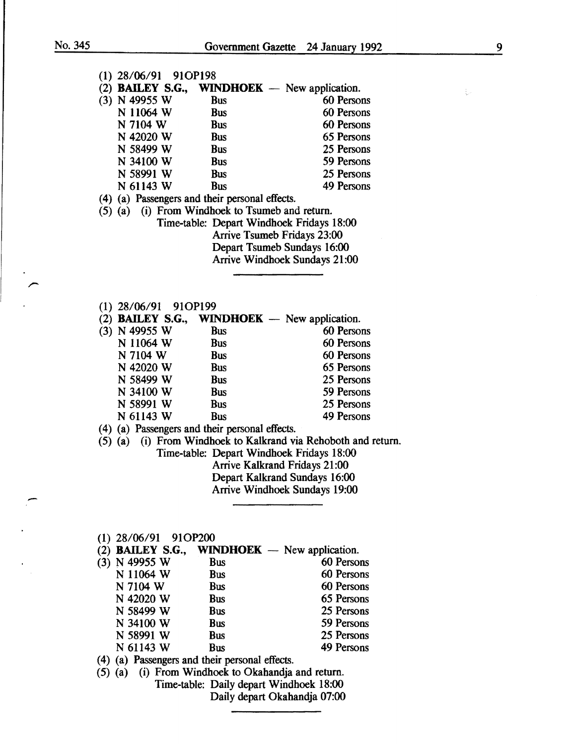| $(1)$ 28/06/91 91OP198                          |                          |                                                                |
|-------------------------------------------------|--------------------------|----------------------------------------------------------------|
|                                                 |                          | (2) <b>BAILEY S.G., WINDHOEK</b> — New application.            |
| $(3)$ N 49955 W                                 | <b>Bus</b>               | 60 Persons                                                     |
| N 11064 W                                       | <b>Bus</b>               | 60 Persons                                                     |
| N 7104 W                                        | <b>Bus</b>               | 60 Persons                                                     |
| N 42020 W                                       | <b>Bus</b>               | 65 Persons                                                     |
| N 58499 W                                       | <b>Bus</b>               | 25 Persons                                                     |
| N 34100 W                                       | <b>Bus</b>               | 59 Persons                                                     |
| N 58991 W                                       | <b>Bus</b>               | 25 Persons                                                     |
| N 61143 W                                       | <b>Bus</b>               | 49 Persons                                                     |
| (4) (a) Passengers and their personal effects.  |                          |                                                                |
| (5) (a) (i) From Windhoek to Tsumeb and return. |                          |                                                                |
|                                                 |                          | Time-table: Depart Windhoek Fridays 18:00                      |
|                                                 |                          | <b>Arrive Tsumeb Fridays 23:00</b>                             |
|                                                 |                          | Depart Tsumeb Sundays 16:00                                    |
|                                                 |                          | <b>Arrive Windhoek Sundays 21:00</b>                           |
|                                                 |                          |                                                                |
|                                                 |                          |                                                                |
|                                                 |                          |                                                                |
| $(1)$ 28/06/91 91OP199                          |                          |                                                                |
|                                                 |                          | (2) <b>BAILEY S.G., WINDHOEK</b> — New application.            |
| (3) N 49955 W                                   | <b>Bus</b>               | 60 Persons<br>60 Persons                                       |
| N 11064 W                                       | <b>Bus</b>               | 60 Persons                                                     |
| N 7104 W<br>N 42020 W                           | <b>Bus</b><br><b>Bus</b> | 65 Persons                                                     |
| N 58499 W                                       | <b>Bus</b>               | 25 Persons                                                     |
| N 34100 W                                       | <b>Bus</b>               | 59 Persons                                                     |
| N 58991 W                                       | <b>Bus</b>               | 25 Persons                                                     |
| N 61143 W                                       | <b>Bus</b>               | 49 Persons                                                     |
|                                                 |                          |                                                                |
| (4) (a) Passengers and their personal effects.  |                          | (5) (a) (i) From Windhoek to Kalkrand via Rehoboth and return. |
|                                                 |                          | Time-table: Depart Windhoek Fridays 18:00                      |
|                                                 |                          | Arrive Kalkrand Fridays 21:00                                  |
|                                                 |                          | Depart Kalkrand Sundays 16:00                                  |
|                                                 |                          | Arrive Windhoek Sundays 19:00                                  |
|                                                 |                          |                                                                |
|                                                 |                          |                                                                |
|                                                 |                          |                                                                |
| $(1)$ 28/06/91 91OP200                          |                          |                                                                |
| $(2)$ BAILEY S.G.,                              |                          | <b>WINDHOEK</b> — New application.                             |
| (3) N 49955 W                                   | <b>Bus</b>               | 60 Persons                                                     |
| N 11064 W                                       | <b>Bus</b>               | 60 Persons                                                     |

N 7104 W Bus 60 Persons<br>N 42020 W Bus 65 Persons N 42020 W Bus 65 Persons<br>N 58499 W Bus 25 Persons

N 58499 W Bus<br>
N 34100 W Bus<br>
59 Persons N 34100 W Bus<br>
N 58991 W Bus<br>
25 Persons N 58991 W Bus<br>
N 61143 W Bus<br>
49 Persons  $N$  61143 W

( 4) (a) Passengers and their personal effects.

(5) (a) (i) From Windhoek to Okahandja and return. Time-table: Daily depart Windhoek 18:00 Daily depart Okahandja 07:00  $\frac{1}{4}$  .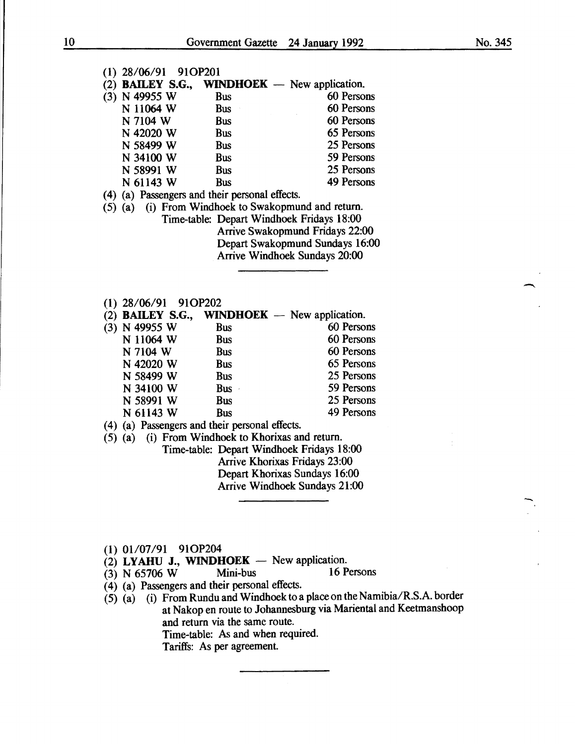$\overline{\phantom{a}}$ 

-<br>-<br>-

| $(1)$ 28/06/91 91OP201 |                                                     |            |
|------------------------|-----------------------------------------------------|------------|
|                        | (2) <b>BAILEY S.G., WINDHOEK</b> — New application. |            |
| (3) N 49955 W          | <b>Bus</b>                                          | 60 Persons |
| N 11064 W              | <b>Bus</b>                                          | 60 Persons |
| N 7104 W               | <b>Bus</b>                                          | 60 Persons |
| N 42020 W              | <b>Bus</b>                                          | 65 Persons |
| N 58499 W              | <b>Bus</b>                                          | 25 Persons |
| N 34100 W              | <b>Bus</b>                                          | 59 Persons |
| N 58991 W              | <b>Bus</b>                                          | 25 Persons |
| N 61143 W              | Bus                                                 | 49 Persons |
|                        |                                                     |            |

(4) (a) Passengers and their personal effects.

- (5) (a) (i) From Windhoek to Swakopmund and return. Time-table: Depart Windhoek Fridays 18:00 Arrive Swakopmund Fridays 22:00 Depart Swakopmund Sundays 16:00 Arrive Windhoek Sundays 20:00
- (1) 28/06/91 910P202

| (2) <b>BAILEY S.G.,</b> |            | $WINDHOEK$ — New application. |
|-------------------------|------------|-------------------------------|
| (3) N 49955 W           | <b>Bus</b> | 60 Persons                    |
| N 11064 W               | <b>Bus</b> | 60 Persons                    |
| N 7104 W                | <b>Bus</b> | 60 Persons                    |
| N 42020 W               | <b>Bus</b> | 65 Persons                    |
| N 58499 W               | <b>Bus</b> | 25 Persons                    |
| N 34100 W               | Bus -      | 59 Persons                    |
| N 58991 W               | <b>Bus</b> | 25 Persons                    |
| N 61143 W               | <b>Bus</b> | 49 Persons                    |

( 4) (a) Passengers and their personal effects.

(5) (a) (i) From Windhoek to Khorixas and return.

Time-table: Depart Windhoek Fridays 18:00 Arrive Khorixas Fridays 23:00 Depart Khorixas Sundays 16:00 Arrive Windhoek Sundays 21:00

- (1) 01/07/91 910P204
- (2) **LYAHU J., WINDHOEK** New application.<br>(3) N 65706 W Mini-bus 16 Persons
- (3) N 65706 W Mini-bus
- ( 4) (a) Passengers and their personal effects.
- ( 5) (a) ( i) From Rundu and Windhoek to a place on the Namibia/R.S.A. border at Nakop en route to Johannesburg via Mariental and Keetmanshoop and return via the same route. Time-table: As and when required. Tariffs: As per agreement.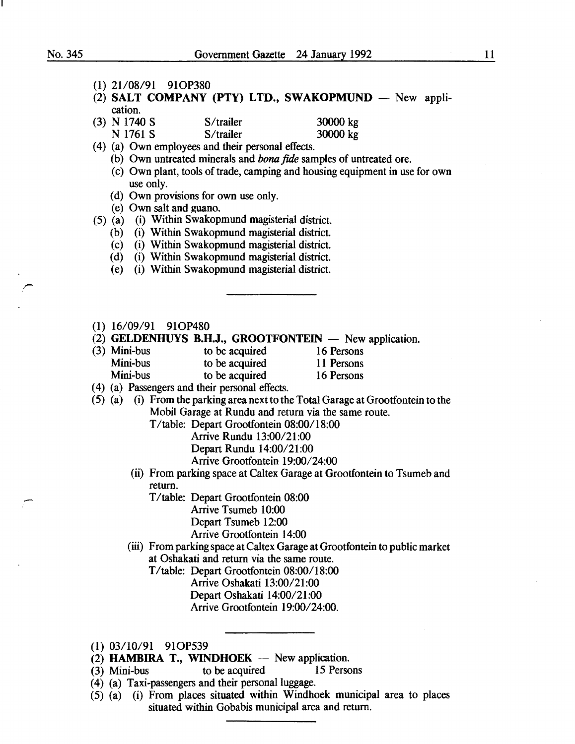- (1) 21/08/91 910P380
- (2) SALT COMPANY (PTY) LTD., SWAKOPMUND New application.
- (3) N 1740 S  $S$ /trailer 30000 kg N 1761 S S/trailer 30000 kg
- (4) (a) Own employees and their personal effects.
	- (b) Own untreated minerals and *bona* fide samples of untreated ore.
	- (c) Own plant, tools of trade, camping and housing equipment in use for own use only.
	- (d) Own provisions for own use only.
	- $(e)$  Own salt and guano.
- (5) (a) (i) Within Swakopmund magisterial district.
	- (b) (i) Within Swakopmund magisterial district.
	- (c) (i) Within Swakopmund magisterial district.
	- (d) (i) Within Swakopmund magisterial district.
	- (e) (i) Within Swakopmund magisterial district.
- (1) 16/09/91 910P480
- (2) GELDENHUYS B.H.J., GROOTFONTEIN  $-$  New application.
- (3) Mini-bus to be acquired 16 Persons<br>
Mini-bus to be acquired 11 Persons to be acquired 11 Persons Mini-bus to be acquired 16 Persons
- (4) (a) Passengers and their personal effects.
- (5) (a) (i) From the parking area next to the Total Garage at Grootfontein to the Mobil Garage at Rundu and return via the same route.

T /table: Depart Grootfontein 08:00/18:00

- Arrive Rundu 13:00/21:00
- Depart Rundu 14:00/21:00
- Arrive Grootfontein 19:00/24:00
- (ii) From parking space at Caltex Garage at Grootfontein to Tsumeb and return.
	- T/table: Depart Grootfontein 08:00 Arrive Tsumeb 10:00 Depart Tsumeb 12:00 Arrive Grootfontein 14:00
- (iii) From parking space at Caltex Garage at Grootfontein to public market at Oshakati and return via the same route.
	- T/table: Depart Grootfontein 08:00/18:00
		- Arrive Oshakati 13:00/21:00 Depart Oshakati 14:00/21:00 Arrive Grootfontein 19:00/24:00.
- (1) 03/10/91 910P539
- $(2)$  **HAMBIRA T., WINDHOEK** New application.
- (3) Mini-bus to be acquired 15 Persons
- (4) (a) Taxi-passengers and their personal luggage.
- $(5)$   $(a)$   $(i)$  From places situated within Windhoek municipal area to places situated within Gobabis municipal area and return.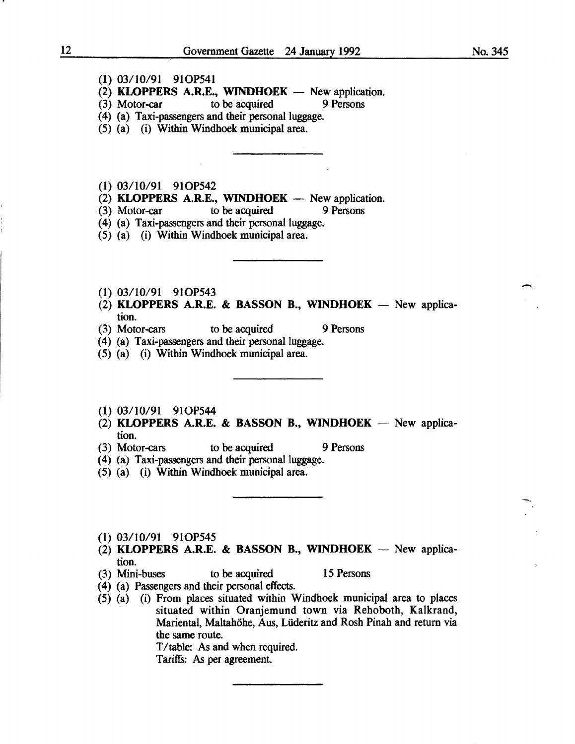- (1) 03/10/91 910P541
- (2) **KLOPPERS A.R.E., WINDHOEK** New application.<br>(3) Motor-car to be acquired 9 Persons
- $(3)$  Motor-car
- (4) (a) Taxi-passengers and their personal luggage.
- (5) (a) (i) Within Windhoek municipal area.
- (1) 03/10/91 910P542
- $(2)$  KLOPPERS A.R.E., WINDHOEK New application.
- (3) Motor-car to be acquired 9 Persons
- (4) (a) Taxi-passengers and their personal luggage.
- (5) (a) (i) Within Windhoek municipal area.
- (1) 03/10/91 910P543
- (2) KLOPPERS A.R.E. & BASSON B., WINDHOEK New application.
- (3) Motor-cars to be acquired 9 Persons
- (4) (a) Taxi-passengers and their personal luggage.
- (5) (a) (i) Within Windhoek municipal area.
- (1) 03/10/91 910P544
- (2) KLOPPERS A.R.E. & BASSON B., WINDHOEK New application.
- (3) Motor-cars to be acquired 9 Persons
- (4) (a) Taxi-passengers and their personal luggage.
- (5) (a) (i) Within Windhoek municipal area.
- (1) 03/10/91 910P545
- (2) KLOPPERS A.R.E. & BASSON B., WINDHOEK New application.
- (3) Mini-buses to be acquired 15 Persons
- (4) (a) Passengers and their personal effects.
- (5) (a) (i) From places situated within Windhoek municipal area to places situated within Oranjemund town via Rehoboth, Kalkrand, Mariental, Maltahohe, Aus, Liideritz and Rosh Pinah and return via the same route. T/table: As and when required.

Tariffs: As per agreement.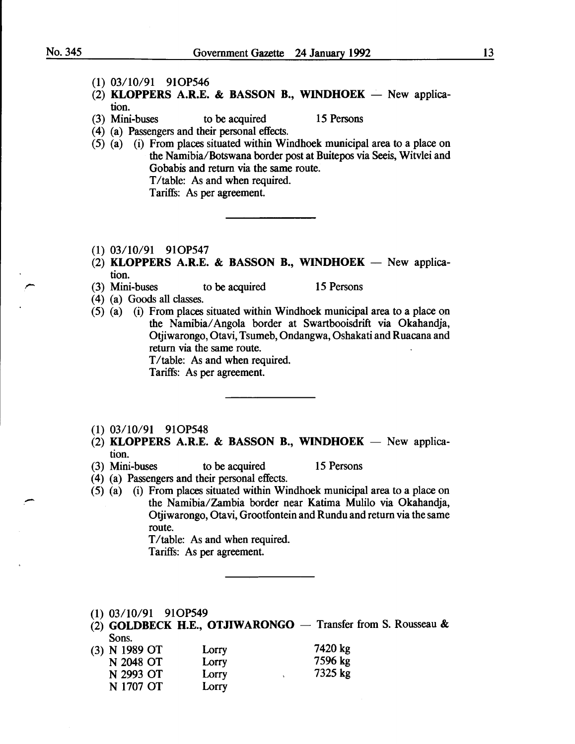- (1) 03/10/91 91OP546
- (2) KLOPPERS A.R.E. & BASSON B., WINDHOEK New application.<br>(3) Mini-buses
- to be acquired 15 Persons
- (4) (a) Passengers and their personal effects.
- $(5)$   $(a)$   $(i)$  From places situated within Windhoek municipal area to a place on the Namibia/Botswana border post at Buitepos via Seeis, Witvlei and Gobabis and return via the same route. T/table: As and when required. Tariffs: As per agreement.
- (1) 03/10/91 91OP547
- (2) KLOPPERS A.R.E. & BASSON B., WINDHOEK New application.
- (3) Mini-buses to be acquired 15 Persons
- ( 4) (a) Goods all classes.
- (5) (a) (i) From places situated within Windhoek municipal area to a place on the Namibia/ Angola border at Swartbooisdrift via Okahandja, Otjiwarongo, Otavi, Tsumeb, Ondangwa, Oshakati and Ruacana and return via the same route.

T/table: As and when required.

Tariffs: As per agreement.

- (1) 03/10/91 910P548
- (2) KLOPPERS A.R.E. & BASSON B., WINDHOEK New application.
- (3) Mini-buses to be acquired 15 Persons

- ( 4) (a) Passengers and their personal effects.
- (5) (a) (i) From places situated within Windhoek municipal area to a place on the Namibia/Zambia border near Katima Mulilo via Okahandja, Otjiwarongo, Otavi, Grootfontein and Rundu and return via the same route.

T/table: As and when required. Tariffs: As per agreement.

- (1) 03/10/91 910P549
- (2) GOLDBECK H.E., OTJIWARONGO  $-$  Transfer from S. Rousseau & Sons.
- (3) N 1989 OT N 2048 OT N 2993 OT N 1707 OT Lorry Lorry **Lorry** Lorry 7420 kg 7596 kg 7325 kg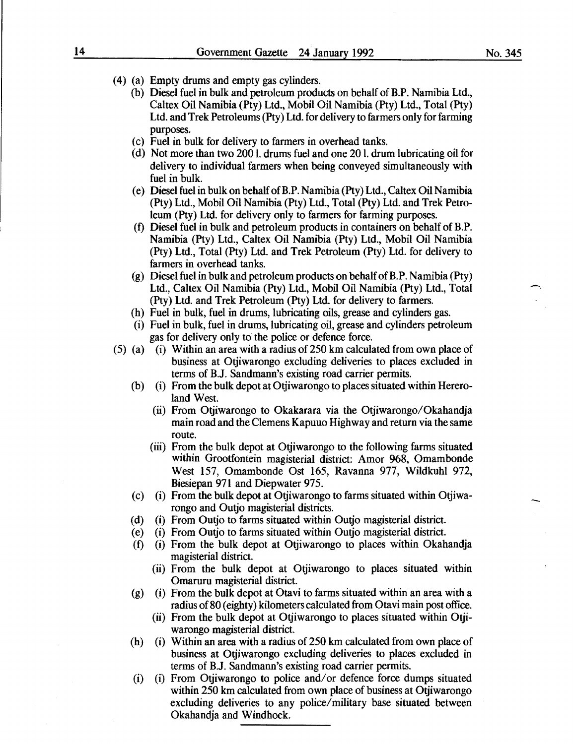- (4) (a) Empty drums and empty gas cylinders.
	- (b) Diesel fuel in bulk and petroleum products on behalf of B.P. Namibia Ltd., Caltex Oil Namibia (Pty) Ltd., Mobil Oil Namibia (Pty) Ltd., Total (Pty) Ltd. and Trek Petroleums (Pty) Ltd. for delivery to farmers only for farming purposes.
	- (c) Fuel in bulk for delivery to farmers in overhead tanks.
	- (d) Not more than two 2001. drums fuel and one 201. drum lubricating oil for delivery to individual farmers when being conveyed simultaneously with fuel in bulk.
	- (e) Diesel fuel in bulk on behalf ofB.P. Namibia (Pty) Ltd., Caltex Oil Namibia (Pty) Ltd., Mobil Oil Namibia (Pty) Ltd., Total (Pty) Ltd. and Trek Petroleum (Pty) Ltd. for delivery only to farmers for farming purposes.
	- (f) Diesel fuel in bulk and petroleum products in containers on behalf of B.P. Namibia (Pty) Ltd., Caltex Oil Namibia (Pty) Ltd., Mobil Oil Namibia (Pty) Ltd., Total (Pty) Ltd. and Trek Petroleum (Pty) Ltd. for delivery to farmers in overhead tanks.
	- (g) Diesel fuel in bulk and petroleum products on behalf ofB.P. Namibia (Pty) Ltd., Caltex Oil Namibia (Pty) Ltd., Mobil Oil Namibia (Pty) Ltd., Total (Pty) Ltd. and Trek Petroleum (Pty) Ltd. for delivery to farmers.
	- (h) Fuel in bulk, fuel in drums, lubricating oils, grease and cylinders gas.
	- (i) Fuel in bulk, fuel in drums, lubricating oil, grease and cylinders petroleum gas for delivery only to the police or defence force.
- (5) (a) (i) Within an area with a radius of  $250 \text{ km}$  calculated from own place of business at Otjiwarongo excluding deliveries to places excluded in terms of B.J. Sandmann's existing road carrier permits.
	- (b) (i) From the bulk depot at Otjiwarongo to places situated within Heremland West.
		- (ii) From Otjiwarongo to Okakarara via the Otjiwarongo/Okahandja main road and the Clemens Kapuuo Highway and return via the same route.
		- (iii) From the bulk depot at Otjiwarongo to the following farms situated within Grootfontein magisterial district: Amor 968, Omambonde West 157, Omambonde Ost 165, Ravanna 977, Wildkuhl 972, Biesiepan 971 and Diepwater 975.
	- (c) (i) From the bulk depot at Otjiwarongo to farms situated within Otjiwarongo and Outjo magisterial districts.
	- (d) (i) From Outjo to farms situated within Outjo magisterial district.
	- (e) (i) From Outjo to farms situated within Outjo magisterial district.
	- (f) (i) From the bulk depot at Otjiwarongo to places within Okahandja magisterial district.
		- (ii) From the bulk depot at Otjiwarongo to places situated within Omaruru magisterial district.
	- (g) (i) From the bulk depot at Otavi to farms situated within an area with a radius of 80 (eighty) kilometers calculated from Otavi main post office.
		- (ii) From the bulk depot at Otjiwarongo to places situated within Otjiwarongo magisterial district.
	- (h) (i) Within an area with a radius of 250 km calculated from own place of business at Otjiwarongo excluding deliveries to places excluded in terms of B.J. Sandmann's existing road carrier permits.
	- (i) (i) From Otjiwarongo to police and/ or defence force dumps situated within 250 km calculated from own place of business at Otjiwarongo excluding deliveries to any police/military base situated between Okahandja and Windhoek.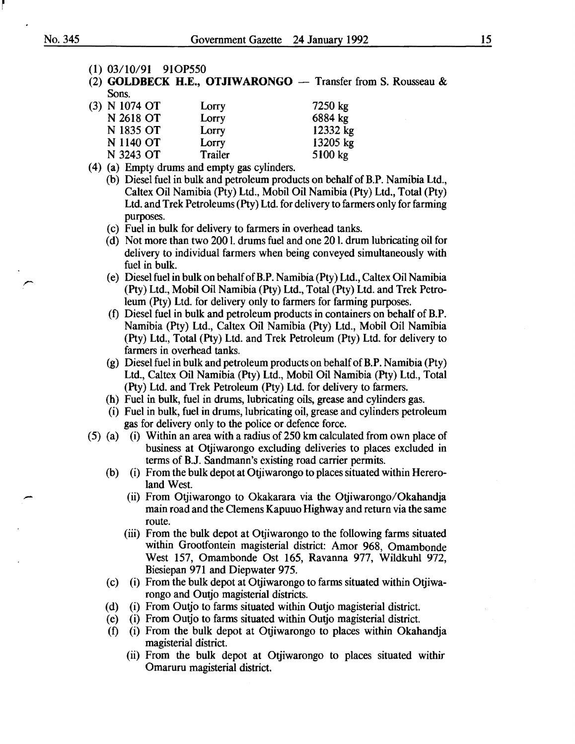- (1) 03/10/91 910P550
- (2) **GOLDBECK H.E., OTJIWARONGO** Transfer from S. Rousseau  $\&$ Sons.

| $(3)$ N 1074 OT | Lorry   | 7250 kg  |
|-----------------|---------|----------|
| N 2618 OT       | Lorry   | 6884 kg  |
| N 1835 OT       | Lorry   | 12332 kg |
| N 1140 OT       | Lorry   | 13205 kg |
| N 3243 OT       | Trailer | 5100 kg  |

- (4) (a) Empty drums and empty gas cylinders.
	- (b) Diesel fuel in bulk and petroleum products on behalf of B.P. Namibia Ltd., Caltex Oil Namibia (Pty) Ltd., Mobil Oil Namibia (Pty) Ltd., Total (Pty) Ltd. and Trek Petroleums (Pty) Ltd. for delivery to farmers only for farming purposes.
	- (c) Fuel in bulk for delivery to farmers in overhead tanks.
	- (d) Not more than two 200 1. drums fuel and one 20 1. drum lubricating oil for delivery to individual farmers when being conveyed simultaneously with fuel in bulk.
	- (e) Diesel fuel in bulk on behalf ofB.P. Namibia (Pty) Ltd., Caltex Oil Namibia (Pty) Ltd., Mobil Oil Namibia (Pty) Ltd., Total (Pty) Ltd. and Trek Petroleum (Pty) Ltd. for delivery only to farmers for farming purposes.
	- (f) Diesel fuel in bulk and petroleum products in containers on behalf of B.P. Namibia (Pty) Ltd., Caltex Oil Namibia (Pty) Ltd., Mobil Oil Namibia (Pty) Ltd., Total (Pty) Ltd. and Trek Petroleum (Pty) Ltd. for delivery to farmers in overhead tanks.
	- (g) Diesel fuel in bulk and petroleum products on behalf ofB.P. Namibia (Pty) Ltd., Caltex Oil Namibia (Pty) Ltd., Mobil Oil Namibia (Pty) Ltd., Total (Pty) Ltd. and Trek Petroleum (Pty) Ltd. for delivery to farmers.
	- (h) Fuel in bulk, fuel in drums, lubricating oils, grease and cylinders gas.
	- (i) Fuel in bulk, fuel in drums, lubricating oil, grease and cylinders petroleum gas for delivery only to the police or defence force.
- (5) (a) (i) Within an area with a radius of 250 km calculated from own place of business at Otjiwarongo excluding deliveries to places excluded in terms of B.J. Sandmann's existing road carrier permits.
	- (b) (i) From the bulk depot at Otjiwarongo to places situated within Heremland West.
		- (ii) From Otjiwarongo to Okakarara via the Otjiwarongo/Okahandja main road and the Clemens Kapuuo Highway and return via the same route.
		- (iii) From the bulk depot at Otiiwarongo to the following farms situated within Grootfontein magisterial district: Amor 968, Omambonde West 157, Omambonde Ost 165, Ravanna 977, Wildkuhl 972, Biesiepan 971 and Diepwater 975.
	- (c) (i) From the bulk depot at Otjiwarongo to farms situated within Otjiwarongo and Outjo magisterial districts.
	- (d) (i) From Outjo to farms situated within Outjo magisterial district.
	- (e) (i) From Outjo to farms situated within Outjo magisterial district.
	- (f) (i) From the bulk depot at Otjiwarongo to places within Okahandja magisterial district.
		- (ii) From the bulk depot at Otjiwarongo to places situated withir Omaruru magisterial district.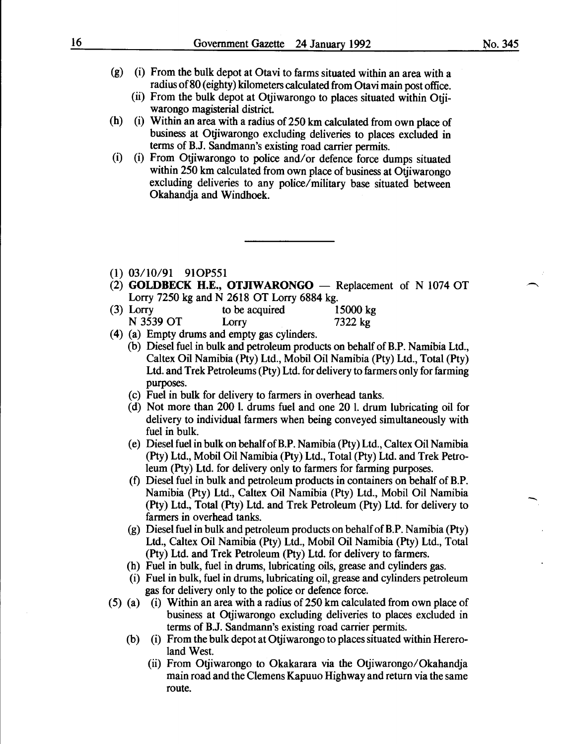- (g) (i) From the bulk depot at Otavi to farms situated within an area with a radius of 80 (eighty) kilometers calculated from Otavi main post office.
	- (ii) From the bulk depot at Otjiwarongo to places situated within Otjiwarongo magisterial district.
- (h) (i) Within an area with a radius of 250 km calculated from own place of business at Otjiwarongo excluding deliveries to places excluded in terms of B.J. Sandmann's existing road carrier permits.
- (i) (i) From Otjiwarongo to police and/ or defence force dumps situated within 250 km calculated from own place of business at Otiiwarongo excluding deliveries to any police/military base situated between Okahandja and Windhoek.
- (1) 03/10/91 910P551
- (2) **GOLDBECK H.E., OTJIWARONGO** Replacement of N 1074 OT Lorry 7250 kg and N 2618 OT Lorry 6884 kg.
- (3) Lorry to be acquired 15000 kg N 3539 OT Lorry 7322 kg
- (4) (a) Empty drums and empty gas cylinders.
	- (b) Diesel fuel in bulk and petroleum products on behalf of B.P. Namibia Ltd., Caltex Oil Namibia (Pty) Ltd., Mobil Oil Namibia (Pty) Ltd., Total (Pty) Ltd. and Trek Petroleums (Pty) Ltd. for delivery to farmers only for farming purposes.
	- (c) Fuel in bulk for delivery to farmers in overhead tanks.
	- (d) Not more than 200 1. drums fuel and one 20 1. drum lubricating oil for delivery to individual farmers when being conveyed simultaneously with fuel in bulk.
	- (e) Diesel fuel in bulk on behalf ofB.P. Namibia (Pty) Ltd., Caltex Oil Namibia (Pty) Ltd., Mobil Oil Namibia (Pty) Ltd., Total (Pty) Ltd. and Trek Petroleum (Pty) Ltd. for delivery only to farmers for farming purposes.
	- (f) Diesel fuel in bulk and petroleum products in containers on behalf of B.P. Namibia (Pty) Ltd., Caltex Oil Namibia (Pty) Ltd., Mobil Oil Namibia (Pty) Ltd., Total (Pty) Ltd. and Trek Petroleum (Pty) Ltd. for delivery to farmers in overhead tanks.
	- (g) Diesel fuel in bulk and petroleum products on behalf of B.P. Namibia (Pty) Ltd., Caltex Oil Namibia (Pty) Ltd., Mobil Oil Namibia (Pty) Ltd., Total (Pty) Ltd. and Trek Petroleum (Pty) Ltd. for delivery to farmers.
	- (h) Fuel in bulk, fuel in drums, lubricating oils, grease and cylinders gas.
	- (i) Fuel in bulk, fuel in drums, lubricating oil, grease and cylinders petroleum gas for delivery only to the police or defence force.
- (5) (a) (i) Within an area with a radius of 250 km calculated from own place of business at Otjiwarongo excluding deliveries to places excluded in terms of B.J. Sandmann's existing road carrier permits.
	- (b) (i) From the bulk depot at Otjiwarongo to places situated within Heremland West.
		- (ii) From Otjiwarongo to Okakarara via the Otjiwarongo/Okahandja main road and the Clemens Kapuuo Highway and return via the same route.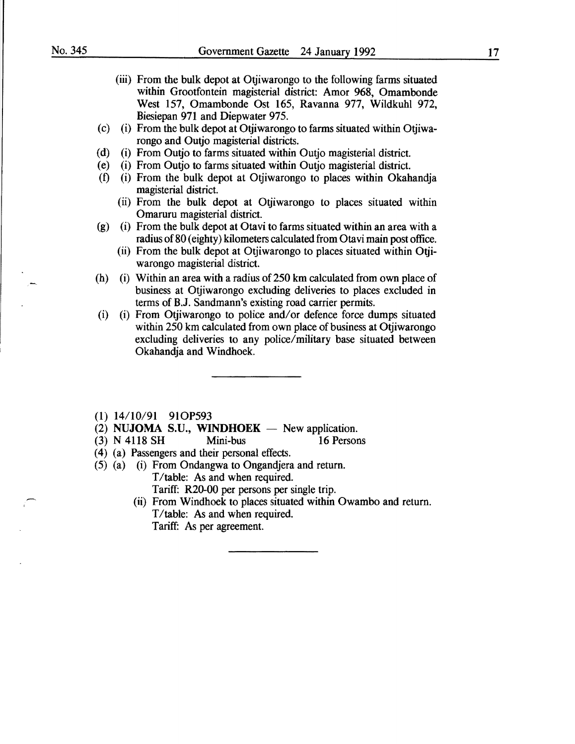- (iii) From the bulk depot at Otjiwarongo to the following farms situated within Grootfontein magisterial district: Amor 968, Omambonde West 157, Omambonde Ost 165, Ravanna 977, Wildkuhl 972, Biesiepan 971 and Diepwater 975.
- (c) (i) From the bulk depot at Otjiwarongo to farms situated within Otjiwarongo and Outjo magisterial districts.
- (d) (i) From Outjo to farms situated within Outjo magisterial district.
- (e) (i) From Outjo to farms situated within Outjo magisterial district.
- (f) (i) From the bulk depot at Otjiwarongo to places within Okahandja magisterial district.
	- (ii) From the bulk depot at Otjiwarongo to places situated within Omaruru magisterial district.
- (g) (i) From the bulk depot at Otavi to farms situated within an area with a radius of 80 (eighty) kilometers calculated from Otavi main post office.
	- (ii) From the bulk depot at Otjiwarongo to places situated within Otjiwarongo magisterial district.
- (h) (i) Within an area with a radius of 250 km calculated from own place of business at Otjiwarongo excluding deliveries to places excluded in terms of B.J. Sandmann's existing road carrier permits.
- (i) (i) From Otjiwarongo to police and/or defence force dumps situated within 250 km calculated from own place of business at Otjiwarongo excluding deliveries to any police/military base situated between Okahandja and Windhoek.
- (1) 14/10/91 910P593
- (2) NUJOMA S.U., WINDHOEK  $-$  New application.
- (3) N 4118 SH Mini-bus 16 Persons
- (4) (a) Passengers and their personal effects.
- (5) (a) (i) From Ondangwa to Ongandjera and return. T/table: As and when required. Tariff: R20-00 per persons per single trip.
	- (ii) From Windhoek to places situated within Owambo and return. T/table: As and when required. Tariff: As per agreement.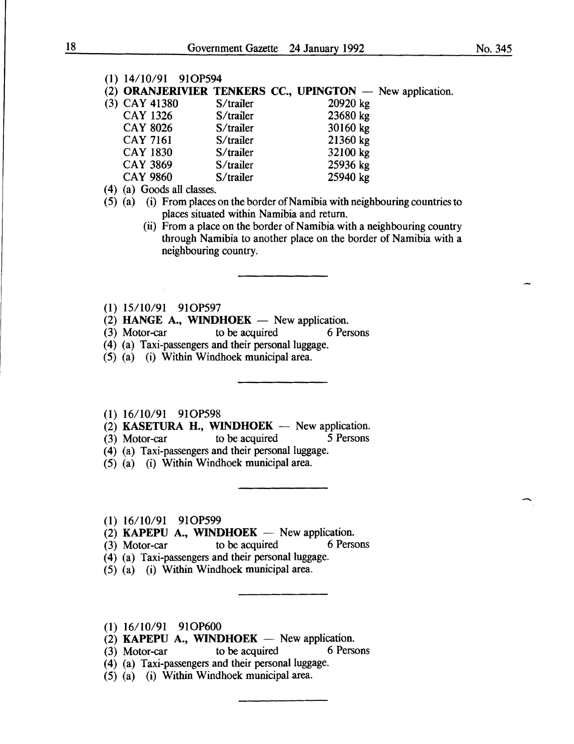| (1) 14/10/91 91OP594                                      |           |          |  |
|-----------------------------------------------------------|-----------|----------|--|
| (2) ORANJERIVIER TENKERS CC., UPINGTON — New application. |           |          |  |
| (3) CAY 41380                                             | S/trailer | 20920 kg |  |
| <b>CAY 1326</b>                                           | S/trailer | 23680 kg |  |
| <b>CAY 8026</b>                                           | S/trailer | 30160 kg |  |
| <b>CAY 7161</b>                                           | S/trailer | 21360 kg |  |
| <b>CAY 1830</b>                                           | S/trailer | 32100 kg |  |
| <b>CAY 3869</b>                                           | S/trailer | 25936 kg |  |
| <b>CAY 9860</b>                                           | S/trailer | 25940 kg |  |
|                                                           |           |          |  |

- ( **4)** (a) Goods all classes.
- (5) (a) (i) From places on the border of Namibia with neighbouring countries to places situated within Namibia and return.
	- (ii) From a place on the border of Namibia with a neighbouring country through Namibia to another place on the border of Namibia with a neighbouring country.
- **(1)** 15/10/91 910P597
- (2) **HANGE A., WINDHOEK** New application.<br>(3) Motor-car to be acquired 6 Per
- $(3)$  Motor-car to be acquired 6 Persons
- (4) (a) Taxi-passengers and their personal luggage.
- (5) (a) (i) Within Windhoek municipal area.
- (1) 16/10/91 91OP598
- $(2)$  **KASETURA H., WINDHOEK** New application.
- (3) Motor--car to be acquired *5* Persons
- (4) (a) Taxi-passengers and their personal luggage.
- (5) (a) (i) Within Windhoek municipal area.
- **(1)** 16/10/91 910P599
- $(2)$  **KAPEPU A., WINDHOEK** New application.
- (3) Motor-car to be acquired 6 Persons
- **(4)** (a) Taxi-passengers and their personal luggage.
- (5) (a) (i) Within Windhoek municipal area.
- (1) 16/10/91 910P600
- $(2)$  **KAPEPU A., WINDHOEK** New application.
- (3) Motor-car to be acquired 6 Persons
- (4) (a) Taxi-passengers and their personal luggage.
- (5) (a) (i) Within Windhoek municipal area.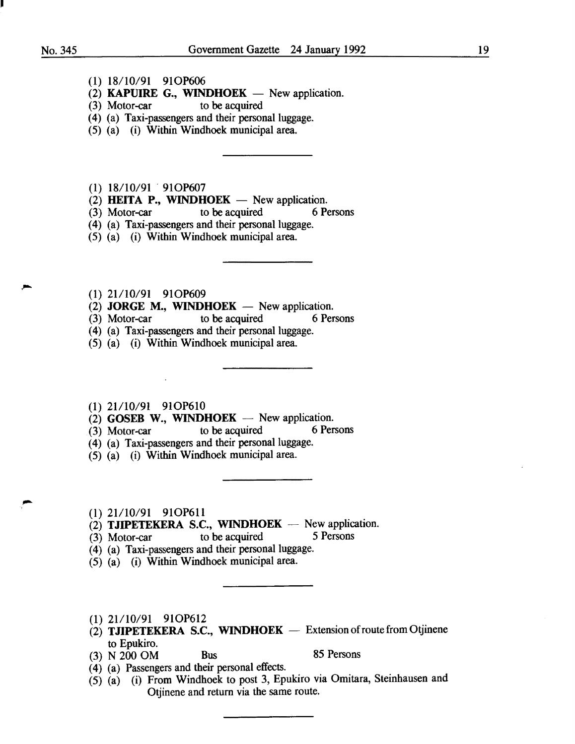I

- (1) 18/10/91 91OP606
- (2) KAPUIRE G., WINDHOEK  $-$  New application.
- (3) Motor-car to be acquired
- ( 4) (a) Taxi-passengers and their personal luggage.
- (5) (a) (i) Within Windhoek municipal area.

(1) 18/10/91 91OP607

- (2) HEITA P., WINDHOEK New application.
- (3) Motor-car to be acquired 6 Persons
- (4) (a) Taxi-passengers and their personal luggage.
- (5) (a) (i) Within Windhoek municipal area.
- (1) 21/10/91 91OP609
- (2) JORGE M., WINDHOEK New application.
- (3) Motor-car to be acquired 6 Persons
- ( 4) (a) Taxi-passengers and their personal luggage.
- (5) (a) (i) Within Windhoek municipal area.
- (1) 21/10/91 91OP610
- (2) GOSEB W., WINDHOEK -- New application.<br>(3) Motor-car to be acquired 6 Persons
- $(3)$  Motor-car
- (4) (a) Taxi-passengers and their personal luggage.
- (5) (a) (i) Within Windhoek municipal area.
- (1) 21/10/91 91OP611
- (2) TJIPETEKERA S.C., WINDHOEK  $-$  New application.<br>(3) Motor-car to be acquired 5 Persons
- $(3)$  Motor-car to be acquired
- (4) (a) Taxi-passengers and their personal luggage.
- (5) (a) (i) Within Windhoek municipal area.
- $(1)$  21/10/91 91OP612
- $(2)$  TJIPETEKERA S.C., WINDHOEK Extension of route from Otjinene to Epukiro.
- $(3)$  N  $200$  OM Bus 85 Persons

- (4) (a) Passengers and their personal effects.
- $(5)$   $(a)$  (i) From Windhoek to post 3, Epukiro via Omitara, Steinhausen and Otjinene and return via the same route.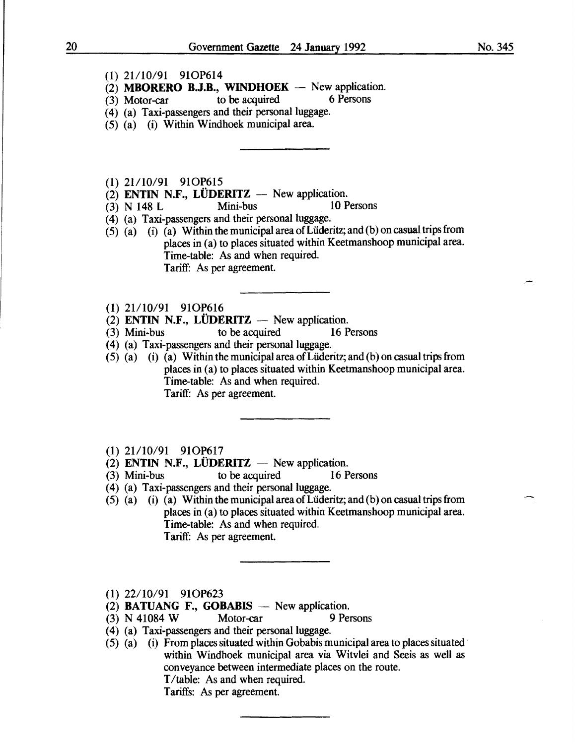## (1) 21/10/91 91OP614

- $(2)$  **MBORERO B.J.B., WINDHOEK** New application.
- $(3)$  Motor-car to be acquired 6 Persons
- (4) (a) Taxi-passengers and their personal luggage.
- (5) (a) (i) Within Windhoek municipal area.

(1) 21/10/91 91OP615

- (2) ENTIN N.F., LÜDERITZ New application.<br>(3) N 148 L Mini-bus 10 Persons
- $(3)$  N 148 L Mini-bus
- (4) (a) Taxi-passengers and their personal luggage.
- (5) (a) (i) (a) Within the municipal area of Lüderitz; and (b) on casual trips from places in (a) to places situated within Keetmanshoop municipal area. Time-table: As and when required. Tariff: As per agreement.
- (1) 21/10/91 91OP616
- (2) ENTIN N.F., LÜDERITZ  $-$  New application.
- (3) Mini-bus to be acquired 16 Persons
- (4) (a) Taxi-passengers and their personal luggage.
- (5) (a) (i) (a) Within the municipal area ofLiideritz; and (b) on casual trips from places in (a) to places situated within Keetmanshoop municipal area. Time-table: As and when required. Tariff: As per agreement.
- (1) 21/10/91 91OP617
- (2) ENTIN N.F., LÜDERITZ  $-$  New application.
- (3) Mini-bus to be acquired 16 Persons
- (4) (a) Taxi-passengers and their personal luggage.
- $(5)$  (a) (i) (a) Within the municipal area of Lüderitz; and (b) on casual trips from places in (a) to places situated within Keetmanshoop municipal area. Time-table: As and when required. Tariff: As per agreement.
- (1) 22/10/91 910P623
- (2) BATUANG F., GOBABIS  $-$  New application.
- (3) N 41084 W Motor-car 9 Persons
- (4) (a) Taxi-passengers and their personal luggage.
- (5) (a) (i) From places situated within Gobabis municipal area to places situated within Windhoek municipal area via Witvlei and Seeis as well as conveyance between intermediate places on the route. T/table: As and when required. Tariffs: As per agreement.